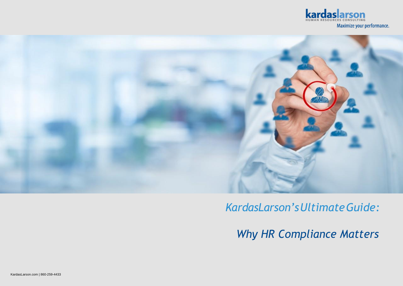



## *KardasLarson'sUltimateGuide:*

*Why HR Compliance Matters*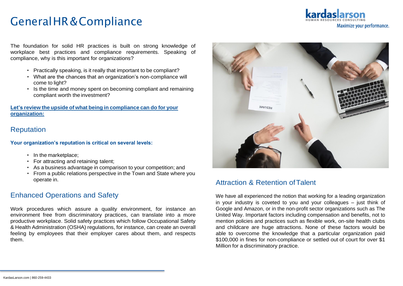Maximize your performance.

The foundation for solid HR practices is built on strong knowledge of workplace best practices and compliance requirements. Speaking of compliance, why is this important for organizations?

- Practically speaking, is it really that important to be compliant?
- What are the chances that an organization's non-compliance will come to light?
- Is the time and money spent on becoming compliant and remaining compliant worth the investment?

#### **Let's review the upside of what being in compliance can do for your organization:**

### Reputation

**Your organization's reputation is critical on several levels:**

- In the marketplace;
- For attracting and retaining talent;
- As a business advantage in comparison to your competition; and
- From a public relations perspective in the Town and State where you operate in.

### Enhanced Operations and Safety

Work procedures which assure a quality environment, for instance an environment free from discriminatory practices, can translate into a more productive workplace. Solid safety practices which follow Occupational Safety & Health Administration (OSHA) regulations, for instance, can create an overall feeling by employees that their employer cares about them, and respects them.



### Attraction & Retention ofTalent

We have all experienced the notion that working for a leading organization in your industry is coveted to you and your colleagues – just think of Google and Amazon, or in the non-profit sector organizations such as The United Way. Important factors including compensation and benefits, not to mention policies and practices such as flexible work, on-site health clubs and childcare are huge attractions. None of these factors would be able to overcome the knowledge that a particular organization paid \$100,000 in fines for non-compliance or settled out of court for over \$1 Million for a discriminatory practice.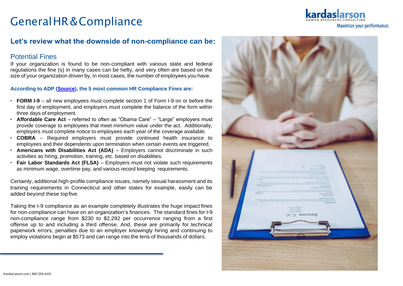### **Let's review what the downside of non-compliance can be:**

#### Potential Fines

If your organization is found to be non-compliant with various state and federal regulations the fine (s) in many cases can be hefty, and very often are based on the size of your organization driven by, in most cases, the number of employees you have.

#### **According to ADP (Source), the 5 most common HR Compliance Fines are:**

- **FORM I-9**  all new employees must complete section 1 of Form I-9 on or before the first day of employment, and employers must complete the balance of the form within three days of employment.
- **Affordable Care Act**  referred to often as "Obama Care" "Large" employers must provide coverage to employees that meet minimum value under the act. Additionally, employers must complete notice to employees each year of the coverage available.
- **COBRA**  Required employers must provide continued health insurance to employees and their dependents upon termination when certain events are triggered.
- **Americans with Disabilities Act (ADA)**  Employers cannot discriminate in such activities as hiring, promotion, training, etc. based on disabilities.
- **Fair Labor Standards Act (FLSA)**  Employers must not violate such requirements as minimum wage, overtime pay, and various record keeping requirements.

Certainly, additional high-profile compliance issues, namely sexual harassment and its training requirements in Connecticut and other states for example, easily can be added beyond these topfive.

Taking the I-9 compliance as an example completely illustrates the huge impact fines for non-compliance can have on an organization's finances. The standard fines for I-9 non-compliance range from \$230 to \$2,292 per occurrence ranging from a first offense up to and including a third offense. And, these are primarily for technical paperwork errors, penalties due to an employer knowingly hiring and continuing to employ violations begin at \$573 and can range into the tens of thousands of dollars.



Maximize your performance.

KardasLarson.com | 860-259-4433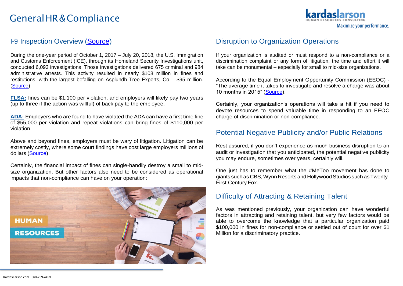

### I-9 Inspection Overview (Source)

During the one-year period of October 1, 2017 – July 20, 2018, the U.S. Immigration and Customs Enforcement (ICE), through its Homeland Security Investigations unit, conducted 6,093 investigations. Those investigations delivered 675 criminal and 984 administrative arrests. This activity resulted in nearly \$108 million in fines and restitutions, with the largest befalling on Asplundh Tree Experts, Co. - \$95 million. (Source)

**FLSA:** fines can be \$1,100 per violation, and employers will likely pay two years (up to three if the action was willful) of back pay to the employee.

**ADA:** Employers who are found to have violated the ADA can have a first time fine of \$55,000 per violation and repeat violations can bring fines of \$110,000 per violation.

Above and beyond fines, employers must be wary of litigation. Litigation can be extremely costly, where some court findings have cost large employers millions of dollars (Source).

Certainly, the financial impact of fines can single-handily destroy a small to midsize organization. But other factors also need to be considered as operational impacts that non-compliance can have on your operation:



### Disruption to Organization Operations

If your organization is audited or must respond to a non-compliance or a discrimination complaint or any form of litigation, the time and effort it will take can be monumental – especially for small to mid-size organizations.

According to the Equal Employment Opportunity Commission (EEOC) - "The average time it takes to investigate and resolve a charge was about 10 months in 2015" (Source).

Certainly, your organization's operations will take a hit if you need to devote resources to spend valuable time in responding to an EEOC charge of discrimination or non-compliance.

### Potential Negative Publicity and/or Public Relations

Rest assured, if you don't experience as much business disruption to an audit or investigation that you anticipated, the potential negative publicity you may endure, sometimes over years, certainly will.

One just has to remember what the #MeToo movement has done to giants such as CBS, Wynn Resorts and Hollywood Studios such as Twenty-First Century Fox.

#### Difficulty of Attracting & Retaining Talent

As was mentioned previously, your organization can have wonderful factors in attracting and retaining talent, but very few factors would be able to overcome the knowledge that a particular organization paid \$100,000 in fines for non-compliance or settled out of court for over \$1 Million for a discriminatory practice.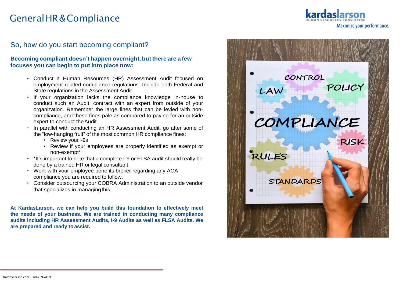Maximize your performance.

### So, how do you start becoming compliant?

#### **Becoming compliant doesn't happen overnight, but there are a few focuses you can begin to put into place now:**

- Conduct a Human Resources (HR) Assessment Audit focused on employment related compliance regulations. Include both Federal and State regulations in the Assessment Audit.
- If your organization lacks the compliance knowledge in-house to conduct such an Audit, contract with an expert from outside of your organization. Remember the large fines that can be levied with noncompliance, and these fines pale as compared to paying for an outside expert to conduct theAudit.
- In parallel with conducting an HR Assessment Audit, go after some of the "low-hanging fruit" of the most common HR compliance fines:
	- Review your I-9s
	- Review if your employees are properly identified as exempt or non-exempt\*
- \*It's important to note that a complete I-9 or FLSA audit should really be done by a trained HR or legal consultant.
- Work with your employee benefits broker regarding any ACA compliance you are required to follow.
- Consider outsourcing your COBRA Administration to an outside vendor that specializes in managingthis.

**At KardasLarson, we can help you build this foundation to effectively meet the needs of your business. We are trained in conducting many compliance audits including HR Assessment Audits, I-9 Audits as well as FLSA Audits. We are prepared and ready toassist.**